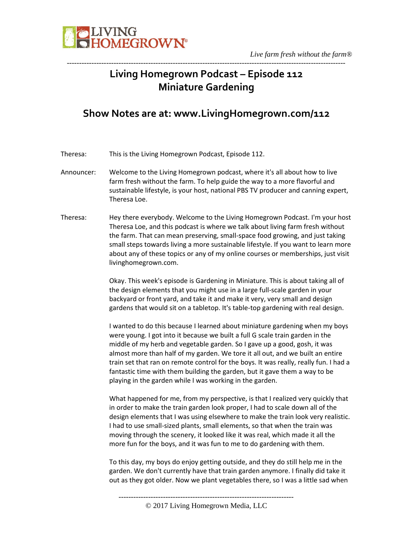

## **Living Homegrown Podcast – Episode 112 Miniature Gardening**

-----------------------------------------------------------------------------------------------------------------

### **Show Notes are at: www.LivingHomegrown.com/112**

Theresa: This is the Living Homegrown Podcast, Episode 112.

- Announcer: Welcome to the Living Homegrown podcast, where it's all about how to live farm fresh without the farm. To help guide the way to a more flavorful and sustainable lifestyle, is your host, national PBS TV producer and canning expert, Theresa Loe.
- Theresa: Hey there everybody. Welcome to the Living Homegrown Podcast. I'm your host Theresa Loe, and this podcast is where we talk about living farm fresh without the farm. That can mean preserving, small-space food growing, and just taking small steps towards living a more sustainable lifestyle. If you want to learn more about any of these topics or any of my online courses or memberships, just visit livinghomegrown.com.

Okay. This week's episode is Gardening in Miniature. This is about taking all of the design elements that you might use in a large full-scale garden in your backyard or front yard, and take it and make it very, very small and design gardens that would sit on a tabletop. It's table-top gardening with real design.

I wanted to do this because I learned about miniature gardening when my boys were young. I got into it because we built a full G scale train garden in the middle of my herb and vegetable garden. So I gave up a good, gosh, it was almost more than half of my garden. We tore it all out, and we built an entire train set that ran on remote control for the boys. It was really, really fun. I had a fantastic time with them building the garden, but it gave them a way to be playing in the garden while I was working in the garden.

What happened for me, from my perspective, is that I realized very quickly that in order to make the train garden look proper, I had to scale down all of the design elements that I was using elsewhere to make the train look very realistic. I had to use small-sized plants, small elements, so that when the train was moving through the scenery, it looked like it was real, which made it all the more fun for the boys, and it was fun to me to do gardening with them.

To this day, my boys do enjoy getting outside, and they do still help me in the garden. We don't currently have that train garden anymore. I finally did take it out as they got older. Now we plant vegetables there, so I was a little sad when

<sup>-----------------------------------------------------------------------</sup>

<sup>© 2017</sup> Living Homegrown Media, LLC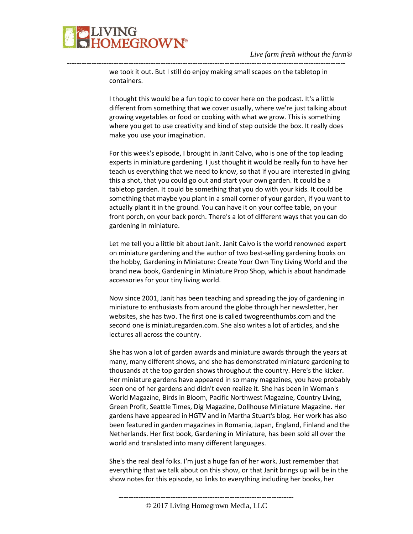we took it out. But I still do enjoy making small scapes on the tabletop in containers.

-----------------------------------------------------------------------------------------------------------------

I thought this would be a fun topic to cover here on the podcast. It's a little different from something that we cover usually, where we're just talking about growing vegetables or food or cooking with what we grow. This is something where you get to use creativity and kind of step outside the box. It really does make you use your imagination.

For this week's episode, I brought in Janit Calvo, who is one of the top leading experts in miniature gardening. I just thought it would be really fun to have her teach us everything that we need to know, so that if you are interested in giving this a shot, that you could go out and start your own garden. It could be a tabletop garden. It could be something that you do with your kids. It could be something that maybe you plant in a small corner of your garden, if you want to actually plant it in the ground. You can have it on your coffee table, on your front porch, on your back porch. There's a lot of different ways that you can do gardening in miniature.

Let me tell you a little bit about Janit. Janit Calvo is the world renowned expert on miniature gardening and the author of two best-selling gardening books on the hobby, Gardening in Miniature: Create Your Own Tiny Living World and the brand new book, Gardening in Miniature Prop Shop, which is about handmade accessories for your tiny living world.

Now since 2001, Janit has been teaching and spreading the joy of gardening in miniature to enthusiasts from around the globe through her newsletter, her websites, she has two. The first one is called twogreenthumbs.com and the second one is miniaturegarden.com. She also writes a lot of articles, and she lectures all across the country.

She has won a lot of garden awards and miniature awards through the years at many, many different shows, and she has demonstrated miniature gardening to thousands at the top garden shows throughout the country. Here's the kicker. Her miniature gardens have appeared in so many magazines, you have probably seen one of her gardens and didn't even realize it. She has been in Woman's World Magazine, Birds in Bloom, Pacific Northwest Magazine, Country Living, Green Profit, Seattle Times, Dig Magazine, Dollhouse Miniature Magazine. Her gardens have appeared in HGTV and in Martha Stuart's blog. Her work has also been featured in garden magazines in Romania, Japan, England, Finland and the Netherlands. Her first book, Gardening in Miniature, has been sold all over the world and translated into many different languages.

She's the real deal folks. I'm just a huge fan of her work. Just remember that everything that we talk about on this show, or that Janit brings up will be in the show notes for this episode, so links to everything including her books, her

-----------------------------------------------------------------------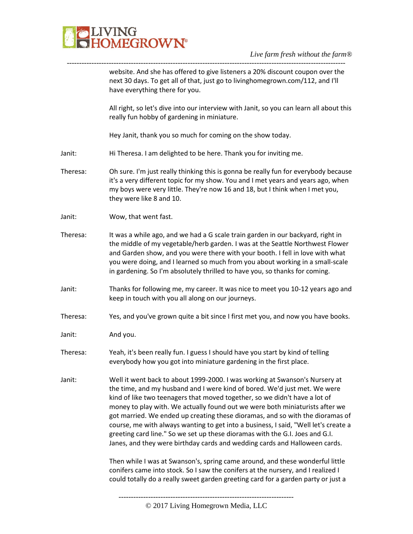

website. And she has offered to give listeners a 20% discount coupon over the next 30 days. To get all of that, just go to livinghomegrown.com/112, and I'll have everything there for you.

All right, so let's dive into our interview with Janit, so you can learn all about this really fun hobby of gardening in miniature.

Hey Janit, thank you so much for coming on the show today.

-----------------------------------------------------------------------------------------------------------------

- Janit: Hi Theresa. I am delighted to be here. Thank you for inviting me.
- Theresa: Oh sure. I'm just really thinking this is gonna be really fun for everybody because it's a very different topic for my show. You and I met years and years ago, when my boys were very little. They're now 16 and 18, but I think when I met you, they were like 8 and 10.
- Janit: Wow, that went fast.
- Theresa: It was a while ago, and we had a G scale train garden in our backyard, right in the middle of my vegetable/herb garden. I was at the Seattle Northwest Flower and Garden show, and you were there with your booth. I fell in love with what you were doing, and I learned so much from you about working in a small-scale in gardening. So I'm absolutely thrilled to have you, so thanks for coming.
- Janit: Thanks for following me, my career. It was nice to meet you 10-12 years ago and keep in touch with you all along on our journeys.
- Theresa: Yes, and you've grown quite a bit since I first met you, and now you have books.
- Janit: And you.
- Theresa: Yeah, it's been really fun. I guess I should have you start by kind of telling everybody how you got into miniature gardening in the first place.
- Janit: Well it went back to about 1999-2000. I was working at Swanson's Nursery at the time, and my husband and I were kind of bored. We'd just met. We were kind of like two teenagers that moved together, so we didn't have a lot of money to play with. We actually found out we were both miniaturists after we got married. We ended up creating these dioramas, and so with the dioramas of course, me with always wanting to get into a business, I said, "Well let's create a greeting card line." So we set up these dioramas with the G.I. Joes and G.I. Janes, and they were birthday cards and wedding cards and Halloween cards.

Then while I was at Swanson's, spring came around, and these wonderful little conifers came into stock. So I saw the conifers at the nursery, and I realized I could totally do a really sweet garden greeting card for a garden party or just a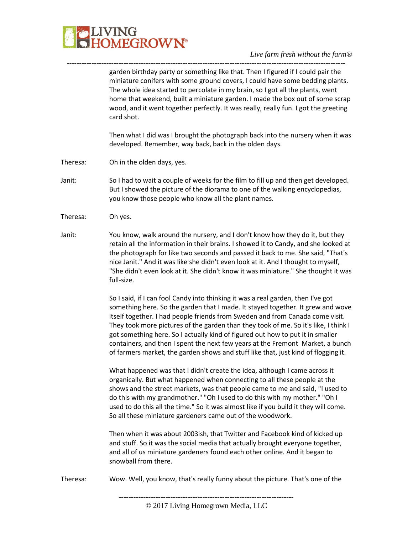

*Live farm fresh without the farm®*

garden birthday party or something like that. Then I figured if I could pair the miniature conifers with some ground covers, I could have some bedding plants. The whole idea started to percolate in my brain, so I got all the plants, went home that weekend, built a miniature garden. I made the box out of some scrap wood, and it went together perfectly. It was really, really fun. I got the greeting card shot.

Then what I did was I brought the photograph back into the nursery when it was developed. Remember, way back, back in the olden days.

- Theresa: Oh in the olden days, yes.
- Janit: So I had to wait a couple of weeks for the film to fill up and then get developed. But I showed the picture of the diorama to one of the walking encyclopedias, you know those people who know all the plant names.

-----------------------------------------------------------------------------------------------------------------

- Theresa: Oh yes.
- Janit: You know, walk around the nursery, and I don't know how they do it, but they retain all the information in their brains. I showed it to Candy, and she looked at the photograph for like two seconds and passed it back to me. She said, "That's nice Janit." And it was like she didn't even look at it. And I thought to myself, "She didn't even look at it. She didn't know it was miniature." She thought it was full-size.

So I said, if I can fool Candy into thinking it was a real garden, then I've got something here. So the garden that I made. It stayed together. It grew and wove itself together. I had people friends from Sweden and from Canada come visit. They took more pictures of the garden than they took of me. So it's like, I think I got something here. So I actually kind of figured out how to put it in smaller containers, and then I spent the next few years at the Fremont Market, a bunch of farmers market, the garden shows and stuff like that, just kind of flogging it.

What happened was that I didn't create the idea, although I came across it organically. But what happened when connecting to all these people at the shows and the street markets, was that people came to me and said, "I used to do this with my grandmother." "Oh I used to do this with my mother." "Oh I used to do this all the time." So it was almost like if you build it they will come. So all these miniature gardeners came out of the woodwork.

Then when it was about 2003ish, that Twitter and Facebook kind of kicked up and stuff. So it was the social media that actually brought everyone together, and all of us miniature gardeners found each other online. And it began to snowball from there.

Theresa: Wow. Well, you know, that's really funny about the picture. That's one of the

<sup>-----------------------------------------------------------------------</sup>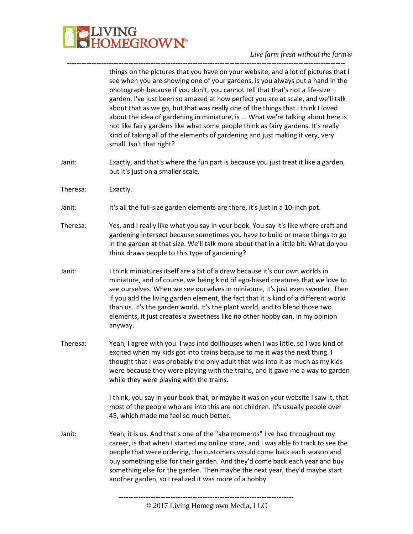

things on the pictures that you have on your website, and a lot of pictures that I see when you are showing one of your gardens, is you always put a hand in the photograph because if you don't, you cannot tell that that's not a life-size garden. I've just been so amazed at how perfect you are at scale, and we'll talk about that as we go, but that was really one of the things that I think I loved about the idea of gardening in miniature, is ... What we're talking about here is not like fairy gardens like what some people think as fairy gardens. It's really kind of taking all of the elements of gardening and just making it very, very small. Isn't that right?

Janit: Exactly, and that's where the fun part is because you just treat it like a garden, but it's just on a smaller scale.

-----------------------------------------------------------------------------------------------------------------

- Theresa: Exactly.
- Janit: It's all the full-size garden elements are there, it's just in a 10-inch pot.
- Theresa: Yes, and I really like what you say in your book. You say it's like where craft and gardening intersect because sometimes you have to build or make things to go in the garden at that size. We'll talk more about that in a little bit. What do you think draws people to this type of gardening?
- Janit: I think miniatures itself are a bit of a draw because it's our own worlds in miniature, and of course, we being kind of ego-based creatures that we love to see ourselves. When we see ourselves in miniature, it's just even sweeter. Then if you add the living garden element, the fact that it is kind of a different world than us. It's the garden world. It's the plant world, and to blend those two elements, it just creates a sweetness like no other hobby can, in my opinion anyway.
- Theresa: Yeah, I agree with you. I was into dollhouses when I was little, so I was kind of excited when my kids got into trains because to me it was the next thing. I thought that I was probably the only adult that was into it as much as my kids were because they were playing with the trains, and it gave me a way to garden while they were playing with the trains.

I think, you say in your book that, or maybe it was on your website I saw it, that most of the people who are into this are not children. It's usually people over 45, which made me feel so much better.

Janit: Yeah, it is us. And that's one of the "aha moments" I've had throughout my career, is that when I started my online store, and I was able to track to see the people that were ordering, the customers would come back each season and buy something else for their garden. And they'd come back each year and buy something else for the garden. Then maybe the next year, they'd maybe start another garden, so I realized it was more of a hobby.

<sup>-----------------------------------------------------------------------</sup> © 2017 Living Homegrown Media, LLC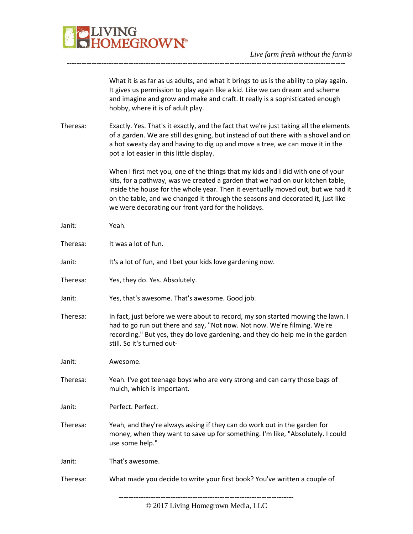

What it is as far as us adults, and what it brings to us is the ability to play again. It gives us permission to play again like a kid. Like we can dream and scheme and imagine and grow and make and craft. It really is a sophisticated enough hobby, where it is of adult play.

Theresa: Exactly. Yes. That's it exactly, and the fact that we're just taking all the elements of a garden. We are still designing, but instead of out there with a shovel and on a hot sweaty day and having to dig up and move a tree, we can move it in the pot a lot easier in this little display.

-----------------------------------------------------------------------------------------------------------------

When I first met you, one of the things that my kids and I did with one of your kits, for a pathway, was we created a garden that we had on our kitchen table, inside the house for the whole year. Then it eventually moved out, but we had it on the table, and we changed it through the seasons and decorated it, just like we were decorating our front yard for the holidays.

| Janit:   | Yeah.                                                                                                                                                                                                                                                                       |
|----------|-----------------------------------------------------------------------------------------------------------------------------------------------------------------------------------------------------------------------------------------------------------------------------|
| Theresa: | It was a lot of fun.                                                                                                                                                                                                                                                        |
| Janit:   | It's a lot of fun, and I bet your kids love gardening now.                                                                                                                                                                                                                  |
| Theresa: | Yes, they do. Yes. Absolutely.                                                                                                                                                                                                                                              |
| Janit:   | Yes, that's awesome. That's awesome. Good job.                                                                                                                                                                                                                              |
| Theresa: | In fact, just before we were about to record, my son started mowing the lawn. I<br>had to go run out there and say, "Not now. Not now. We're filming. We're<br>recording." But yes, they do love gardening, and they do help me in the garden<br>still. So it's turned out- |
| Janit:   | Awesome.                                                                                                                                                                                                                                                                    |
| Theresa: | Yeah. I've got teenage boys who are very strong and can carry those bags of<br>mulch, which is important.                                                                                                                                                                   |
| Janit:   | Perfect. Perfect.                                                                                                                                                                                                                                                           |
| Theresa: | Yeah, and they're always asking if they can do work out in the garden for<br>money, when they want to save up for something. I'm like, "Absolutely. I could<br>use some help."                                                                                              |
| Janit:   | That's awesome.                                                                                                                                                                                                                                                             |
| Theresa: | What made you decide to write your first book? You've written a couple of                                                                                                                                                                                                   |
|          |                                                                                                                                                                                                                                                                             |

© 2017 Living Homegrown Media, LLC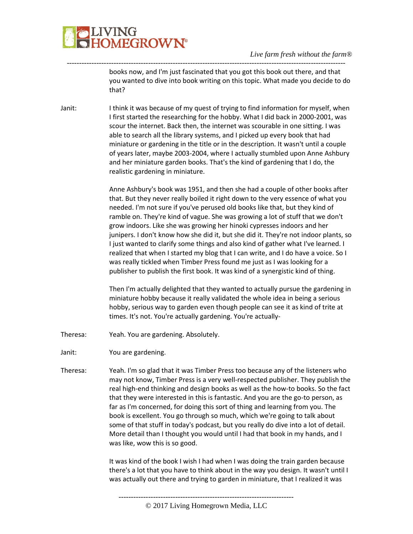

#### *Live farm fresh without the farm®*

books now, and I'm just fascinated that you got this book out there, and that you wanted to dive into book writing on this topic. What made you decide to do that?

Janit: I think it was because of my quest of trying to find information for myself, when I first started the researching for the hobby. What I did back in 2000-2001, was scour the internet. Back then, the internet was scourable in one sitting. I was able to search all the library systems, and I picked up every book that had miniature or gardening in the title or in the description. It wasn't until a couple of years later, maybe 2003-2004, where I actually stumbled upon Anne Ashbury and her miniature garden books. That's the kind of gardening that I do, the realistic gardening in miniature.

-----------------------------------------------------------------------------------------------------------------

Anne Ashbury's book was 1951, and then she had a couple of other books after that. But they never really boiled it right down to the very essence of what you needed. I'm not sure if you've perused old books like that, but they kind of ramble on. They're kind of vague. She was growing a lot of stuff that we don't grow indoors. Like she was growing her hinoki cypresses indoors and her junipers. I don't know how she did it, but she did it. They're not indoor plants, so I just wanted to clarify some things and also kind of gather what I've learned. I realized that when I started my blog that I can write, and I do have a voice. So I was really tickled when Timber Press found me just as I was looking for a publisher to publish the first book. It was kind of a synergistic kind of thing.

Then I'm actually delighted that they wanted to actually pursue the gardening in miniature hobby because it really validated the whole idea in being a serious hobby, serious way to garden even though people can see it as kind of trite at times. It's not. You're actually gardening. You're actually-

- Theresa: Yeah. You are gardening. Absolutely.
- Janit: You are gardening.
- Theresa: Yeah. I'm so glad that it was Timber Press too because any of the listeners who may not know, Timber Press is a very well-respected publisher. They publish the real high-end thinking and design books as well as the how-to books. So the fact that they were interested in this is fantastic. And you are the go-to person, as far as I'm concerned, for doing this sort of thing and learning from you. The book is excellent. You go through so much, which we're going to talk about some of that stuff in today's podcast, but you really do dive into a lot of detail. More detail than I thought you would until I had that book in my hands, and I was like, wow this is so good.

It was kind of the book I wish I had when I was doing the train garden because there's a lot that you have to think about in the way you design. It wasn't until I was actually out there and trying to garden in miniature, that I realized it was

<sup>-----------------------------------------------------------------------</sup>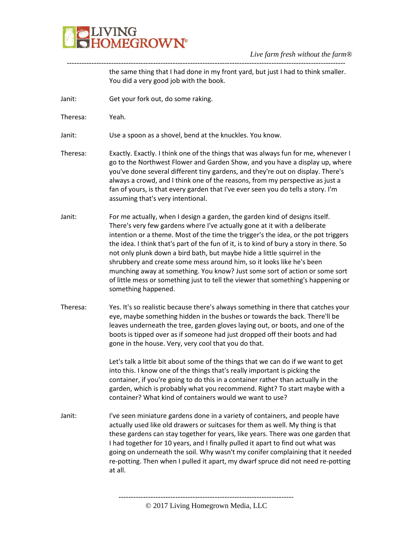

the same thing that I had done in my front yard, but just I had to think smaller. You did a very good job with the book.

Janit: Get your fork out, do some raking.

Theresa: Yeah.

Janit: Use a spoon as a shovel, bend at the knuckles. You know.

Theresa: Exactly. Exactly. I think one of the things that was always fun for me, whenever I go to the Northwest Flower and Garden Show, and you have a display up, where you've done several different tiny gardens, and they're out on display. There's always a crowd, and I think one of the reasons, from my perspective as just a fan of yours, is that every garden that I've ever seen you do tells a story. I'm assuming that's very intentional.

-----------------------------------------------------------------------------------------------------------------

- Janit: For me actually, when I design a garden, the garden kind of designs itself. There's very few gardens where I've actually gone at it with a deliberate intention or a theme. Most of the time the trigger's the idea, or the pot triggers the idea. I think that's part of the fun of it, is to kind of bury a story in there. So not only plunk down a bird bath, but maybe hide a little squirrel in the shrubbery and create some mess around him, so it looks like he's been munching away at something. You know? Just some sort of action or some sort of little mess or something just to tell the viewer that something's happening or something happened.
- Theresa: Yes. It's so realistic because there's always something in there that catches your eye, maybe something hidden in the bushes or towards the back. There'll be leaves underneath the tree, garden gloves laying out, or boots, and one of the boots is tipped over as if someone had just dropped off their boots and had gone in the house. Very, very cool that you do that.

Let's talk a little bit about some of the things that we can do if we want to get into this. I know one of the things that's really important is picking the container, if you're going to do this in a container rather than actually in the garden, which is probably what you recommend. Right? To start maybe with a container? What kind of containers would we want to use?

Janit: I've seen miniature gardens done in a variety of containers, and people have actually used like old drawers or suitcases for them as well. My thing is that these gardens can stay together for years, like years. There was one garden that I had together for 10 years, and I finally pulled it apart to find out what was going on underneath the soil. Why wasn't my conifer complaining that it needed re-potting. Then when I pulled it apart, my dwarf spruce did not need re-potting at all.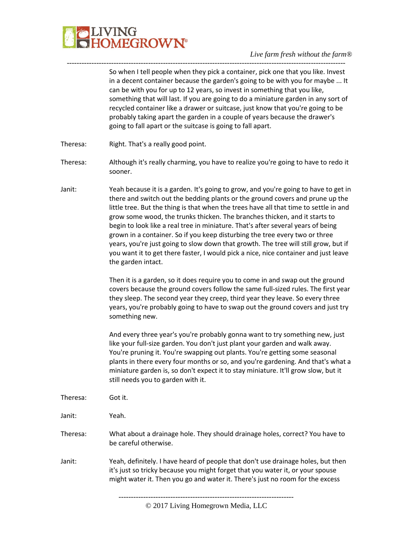

So when I tell people when they pick a container, pick one that you like. Invest in a decent container because the garden's going to be with you for maybe ... It can be with you for up to 12 years, so invest in something that you like, something that will last. If you are going to do a miniature garden in any sort of recycled container like a drawer or suitcase, just know that you're going to be probably taking apart the garden in a couple of years because the drawer's going to fall apart or the suitcase is going to fall apart.

- Theresa: Right. That's a really good point.
- Theresa: Although it's really charming, you have to realize you're going to have to redo it sooner.

-----------------------------------------------------------------------------------------------------------------

Janit: Yeah because it is a garden. It's going to grow, and you're going to have to get in there and switch out the bedding plants or the ground covers and prune up the little tree. But the thing is that when the trees have all that time to settle in and grow some wood, the trunks thicken. The branches thicken, and it starts to begin to look like a real tree in miniature. That's after several years of being grown in a container. So if you keep disturbing the tree every two or three years, you're just going to slow down that growth. The tree will still grow, but if you want it to get there faster, I would pick a nice, nice container and just leave the garden intact.

> Then it is a garden, so it does require you to come in and swap out the ground covers because the ground covers follow the same full-sized rules. The first year they sleep. The second year they creep, third year they leave. So every three years, you're probably going to have to swap out the ground covers and just try something new.

> And every three year's you're probably gonna want to try something new, just like your full-size garden. You don't just plant your garden and walk away. You're pruning it. You're swapping out plants. You're getting some seasonal plants in there every four months or so, and you're gardening. And that's what a miniature garden is, so don't expect it to stay miniature. It'll grow slow, but it still needs you to garden with it.

Theresa: Got it.

Janit: Yeah.

Theresa: What about a drainage hole. They should drainage holes, correct? You have to be careful otherwise.

Janit: Yeah, definitely. I have heard of people that don't use drainage holes, but then it's just so tricky because you might forget that you water it, or your spouse might water it. Then you go and water it. There's just no room for the excess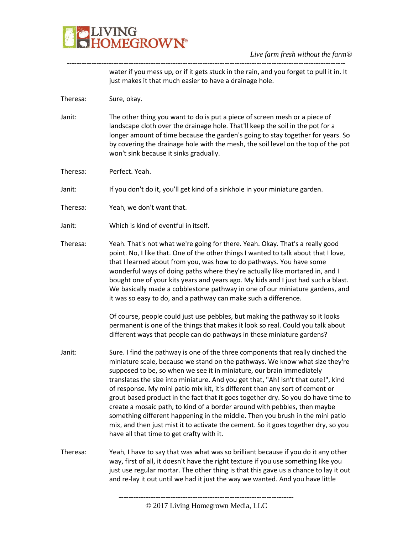

water if you mess up, or if it gets stuck in the rain, and you forget to pull it in. It just makes it that much easier to have a drainage hole.

Theresa: Sure, okay.

Janit: The other thing you want to do is put a piece of screen mesh or a piece of landscape cloth over the drainage hole. That'll keep the soil in the pot for a longer amount of time because the garden's going to stay together for years. So by covering the drainage hole with the mesh, the soil level on the top of the pot won't sink because it sinks gradually.

-----------------------------------------------------------------------------------------------------------------

- Theresa: Perfect. Yeah.
- Janit: If you don't do it, you'll get kind of a sinkhole in your miniature garden.
- Theresa: Yeah, we don't want that.
- Janit: Which is kind of eventful in itself.
- Theresa: Yeah. That's not what we're going for there. Yeah. Okay. That's a really good point. No, I like that. One of the other things I wanted to talk about that I love, that I learned about from you, was how to do pathways. You have some wonderful ways of doing paths where they're actually like mortared in, and I bought one of your kits years and years ago. My kids and I just had such a blast. We basically made a cobblestone pathway in one of our miniature gardens, and it was so easy to do, and a pathway can make such a difference.

Of course, people could just use pebbles, but making the pathway so it looks permanent is one of the things that makes it look so real. Could you talk about different ways that people can do pathways in these miniature gardens?

- Janit: Sure. I find the pathway is one of the three components that really cinched the miniature scale, because we stand on the pathways. We know what size they're supposed to be, so when we see it in miniature, our brain immediately translates the size into miniature. And you get that, "Ah! Isn't that cute!", kind of response. My mini patio mix kit, it's different than any sort of cement or grout based product in the fact that it goes together dry. So you do have time to create a mosaic path, to kind of a border around with pebbles, then maybe something different happening in the middle. Then you brush in the mini patio mix, and then just mist it to activate the cement. So it goes together dry, so you have all that time to get crafty with it.
- Theresa: Yeah, I have to say that was what was so brilliant because if you do it any other way, first of all, it doesn't have the right texture if you use something like you just use regular mortar. The other thing is that this gave us a chance to lay it out and re-lay it out until we had it just the way we wanted. And you have little

<sup>-----------------------------------------------------------------------</sup>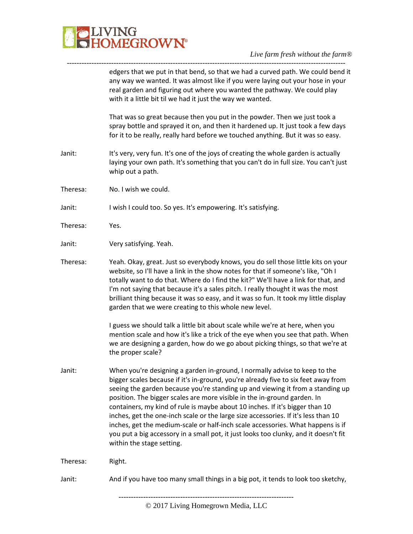

-----------------------------------------------------------------------------------------------------------------

|          | edgers that we put in that bend, so that we had a curved path. We could bend it<br>any way we wanted. It was almost like if you were laying out your hose in your<br>real garden and figuring out where you wanted the pathway. We could play<br>with it a little bit til we had it just the way we wanted.                                                                                                                                                                                                                                                                                                                                                                                                  |
|----------|--------------------------------------------------------------------------------------------------------------------------------------------------------------------------------------------------------------------------------------------------------------------------------------------------------------------------------------------------------------------------------------------------------------------------------------------------------------------------------------------------------------------------------------------------------------------------------------------------------------------------------------------------------------------------------------------------------------|
|          | That was so great because then you put in the powder. Then we just took a<br>spray bottle and sprayed it on, and then it hardened up. It just took a few days<br>for it to be really, really hard before we touched anything. But it was so easy.                                                                                                                                                                                                                                                                                                                                                                                                                                                            |
| Janit:   | It's very, very fun. It's one of the joys of creating the whole garden is actually<br>laying your own path. It's something that you can't do in full size. You can't just<br>whip out a path.                                                                                                                                                                                                                                                                                                                                                                                                                                                                                                                |
| Theresa: | No. I wish we could.                                                                                                                                                                                                                                                                                                                                                                                                                                                                                                                                                                                                                                                                                         |
| Janit:   | I wish I could too. So yes. It's empowering. It's satisfying.                                                                                                                                                                                                                                                                                                                                                                                                                                                                                                                                                                                                                                                |
| Theresa: | Yes.                                                                                                                                                                                                                                                                                                                                                                                                                                                                                                                                                                                                                                                                                                         |
| Janit:   | Very satisfying. Yeah.                                                                                                                                                                                                                                                                                                                                                                                                                                                                                                                                                                                                                                                                                       |
| Theresa: | Yeah. Okay, great. Just so everybody knows, you do sell those little kits on your<br>website, so I'll have a link in the show notes for that if someone's like, "Oh I<br>totally want to do that. Where do I find the kit?" We'll have a link for that, and<br>I'm not saying that because it's a sales pitch. I really thought it was the most<br>brilliant thing because it was so easy, and it was so fun. It took my little display<br>garden that we were creating to this whole new level.                                                                                                                                                                                                             |
|          | I guess we should talk a little bit about scale while we're at here, when you<br>mention scale and how it's like a trick of the eye when you see that path. When<br>we are designing a garden, how do we go about picking things, so that we're at<br>the proper scale?                                                                                                                                                                                                                                                                                                                                                                                                                                      |
| Janit:   | When you're designing a garden in-ground, I normally advise to keep to the<br>bigger scales because if it's in-ground, you're already five to six feet away from<br>seeing the garden because you're standing up and viewing it from a standing up<br>position. The bigger scales are more visible in the in-ground garden. In<br>containers, my kind of rule is maybe about 10 inches. If it's bigger than 10<br>inches, get the one-inch scale or the large size accessories. If it's less than 10<br>inches, get the medium-scale or half-inch scale accessories. What happens is if<br>you put a big accessory in a small pot, it just looks too clunky, and it doesn't fit<br>within the stage setting. |
| Theresa: | Right.                                                                                                                                                                                                                                                                                                                                                                                                                                                                                                                                                                                                                                                                                                       |
| Janit:   | And if you have too many small things in a big pot, it tends to look too sketchy,                                                                                                                                                                                                                                                                                                                                                                                                                                                                                                                                                                                                                            |
|          |                                                                                                                                                                                                                                                                                                                                                                                                                                                                                                                                                                                                                                                                                                              |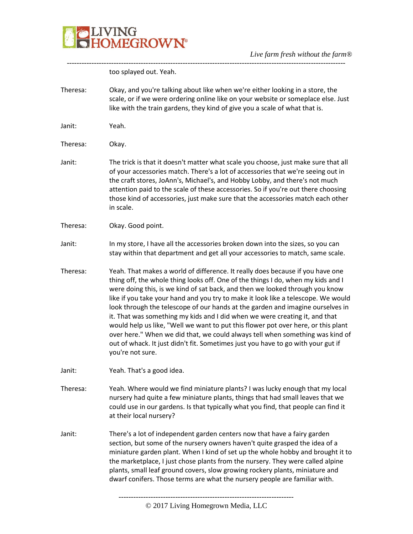

| too splayed out. Yeah.<br>Okay, and you're talking about like when we're either looking in a store, the<br>scale, or if we were ordering online like on your website or someplace else. Just<br>like with the train gardens, they kind of give you a scale of what that is.<br>Yeah.<br>Okay.<br>The trick is that it doesn't matter what scale you choose, just make sure that all<br>of your accessories match. There's a lot of accessories that we're seeing out in<br>the craft stores, JoAnn's, Michael's, and Hobby Lobby, and there's not much<br>attention paid to the scale of these accessories. So if you're out there choosing<br>those kind of accessories, just make sure that the accessories match each other<br>in scale.<br>Okay. Good point.<br>In my store, I have all the accessories broken down into the sizes, so you can<br>stay within that department and get all your accessories to match, same scale.<br>Yeah. That makes a world of difference. It really does because if you have one<br>thing off, the whole thing looks off. One of the things I do, when my kids and I<br>were doing this, is we kind of sat back, and then we looked through you know<br>like if you take your hand and you try to make it look like a telescope. We would<br>look through the telescope of our hands at the garden and imagine ourselves in<br>it. That was something my kids and I did when we were creating it, and that<br>would help us like, "Well we want to put this flower pot over here, or this plant<br>over here." When we did that, we could always tell when something was kind of<br>out of whack. It just didn't fit. Sometimes just you have to go with your gut if<br>you're not sure.<br>Yeah. That's a good idea.<br>Yeah. Where would we find miniature plants? I was lucky enough that my local<br>nursery had quite a few miniature plants, things that had small leaves that we<br>could use in our gardens. Is that typically what you find, that people can find it<br>at their local nursery?<br>There's a lot of independent garden centers now that have a fairy garden<br>section, but some of the nursery owners haven't quite grasped the idea of a<br>miniature garden plant. When I kind of set up the whole hobby and brought it to<br>the marketplace, I just chose plants from the nursery. They were called alpine<br>plants, small leaf ground covers, slow growing rockery plants, miniature and |  |
|----------------------------------------------------------------------------------------------------------------------------------------------------------------------------------------------------------------------------------------------------------------------------------------------------------------------------------------------------------------------------------------------------------------------------------------------------------------------------------------------------------------------------------------------------------------------------------------------------------------------------------------------------------------------------------------------------------------------------------------------------------------------------------------------------------------------------------------------------------------------------------------------------------------------------------------------------------------------------------------------------------------------------------------------------------------------------------------------------------------------------------------------------------------------------------------------------------------------------------------------------------------------------------------------------------------------------------------------------------------------------------------------------------------------------------------------------------------------------------------------------------------------------------------------------------------------------------------------------------------------------------------------------------------------------------------------------------------------------------------------------------------------------------------------------------------------------------------------------------------------------------------------------------------------------------------------------------------------------------------------------------------------------------------------------------------------------------------------------------------------------------------------------------------------------------------------------------------------------------------------------------------------------------------------------------------------------------------------------------------------------------------------------------------------------------------------------------------|--|
| Theresa:<br>Janit:<br>Theresa:<br>Janit:<br>Theresa:<br>Janit:<br>Theresa:<br>Janit:<br>Theresa:<br>Janit:                                                                                                                                                                                                                                                                                                                                                                                                                                                                                                                                                                                                                                                                                                                                                                                                                                                                                                                                                                                                                                                                                                                                                                                                                                                                                                                                                                                                                                                                                                                                                                                                                                                                                                                                                                                                                                                                                                                                                                                                                                                                                                                                                                                                                                                                                                                                                     |  |
|                                                                                                                                                                                                                                                                                                                                                                                                                                                                                                                                                                                                                                                                                                                                                                                                                                                                                                                                                                                                                                                                                                                                                                                                                                                                                                                                                                                                                                                                                                                                                                                                                                                                                                                                                                                                                                                                                                                                                                                                                                                                                                                                                                                                                                                                                                                                                                                                                                                                |  |
|                                                                                                                                                                                                                                                                                                                                                                                                                                                                                                                                                                                                                                                                                                                                                                                                                                                                                                                                                                                                                                                                                                                                                                                                                                                                                                                                                                                                                                                                                                                                                                                                                                                                                                                                                                                                                                                                                                                                                                                                                                                                                                                                                                                                                                                                                                                                                                                                                                                                |  |
|                                                                                                                                                                                                                                                                                                                                                                                                                                                                                                                                                                                                                                                                                                                                                                                                                                                                                                                                                                                                                                                                                                                                                                                                                                                                                                                                                                                                                                                                                                                                                                                                                                                                                                                                                                                                                                                                                                                                                                                                                                                                                                                                                                                                                                                                                                                                                                                                                                                                |  |
|                                                                                                                                                                                                                                                                                                                                                                                                                                                                                                                                                                                                                                                                                                                                                                                                                                                                                                                                                                                                                                                                                                                                                                                                                                                                                                                                                                                                                                                                                                                                                                                                                                                                                                                                                                                                                                                                                                                                                                                                                                                                                                                                                                                                                                                                                                                                                                                                                                                                |  |
|                                                                                                                                                                                                                                                                                                                                                                                                                                                                                                                                                                                                                                                                                                                                                                                                                                                                                                                                                                                                                                                                                                                                                                                                                                                                                                                                                                                                                                                                                                                                                                                                                                                                                                                                                                                                                                                                                                                                                                                                                                                                                                                                                                                                                                                                                                                                                                                                                                                                |  |
|                                                                                                                                                                                                                                                                                                                                                                                                                                                                                                                                                                                                                                                                                                                                                                                                                                                                                                                                                                                                                                                                                                                                                                                                                                                                                                                                                                                                                                                                                                                                                                                                                                                                                                                                                                                                                                                                                                                                                                                                                                                                                                                                                                                                                                                                                                                                                                                                                                                                |  |
|                                                                                                                                                                                                                                                                                                                                                                                                                                                                                                                                                                                                                                                                                                                                                                                                                                                                                                                                                                                                                                                                                                                                                                                                                                                                                                                                                                                                                                                                                                                                                                                                                                                                                                                                                                                                                                                                                                                                                                                                                                                                                                                                                                                                                                                                                                                                                                                                                                                                |  |
|                                                                                                                                                                                                                                                                                                                                                                                                                                                                                                                                                                                                                                                                                                                                                                                                                                                                                                                                                                                                                                                                                                                                                                                                                                                                                                                                                                                                                                                                                                                                                                                                                                                                                                                                                                                                                                                                                                                                                                                                                                                                                                                                                                                                                                                                                                                                                                                                                                                                |  |
|                                                                                                                                                                                                                                                                                                                                                                                                                                                                                                                                                                                                                                                                                                                                                                                                                                                                                                                                                                                                                                                                                                                                                                                                                                                                                                                                                                                                                                                                                                                                                                                                                                                                                                                                                                                                                                                                                                                                                                                                                                                                                                                                                                                                                                                                                                                                                                                                                                                                |  |
| dwarf conifers. Those terms are what the nursery people are familiar with.                                                                                                                                                                                                                                                                                                                                                                                                                                                                                                                                                                                                                                                                                                                                                                                                                                                                                                                                                                                                                                                                                                                                                                                                                                                                                                                                                                                                                                                                                                                                                                                                                                                                                                                                                                                                                                                                                                                                                                                                                                                                                                                                                                                                                                                                                                                                                                                     |  |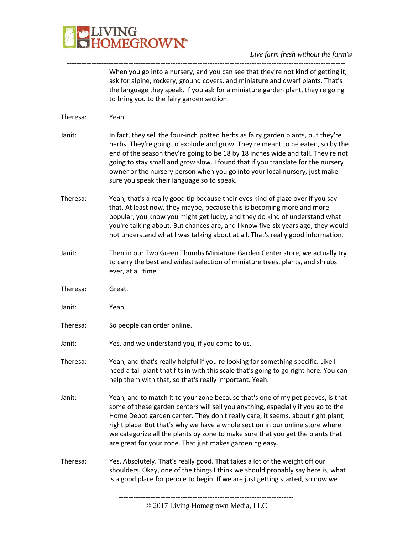

When you go into a nursery, and you can see that they're not kind of getting it, ask for alpine, rockery, ground covers, and miniature and dwarf plants. That's the language they speak. If you ask for a miniature garden plant, they're going to bring you to the fairy garden section.

| Theresa: | Yeah.                                                                                                                                                                                                                                                                                                                                                                                                                                                                                |
|----------|--------------------------------------------------------------------------------------------------------------------------------------------------------------------------------------------------------------------------------------------------------------------------------------------------------------------------------------------------------------------------------------------------------------------------------------------------------------------------------------|
| Janit:   | In fact, they sell the four-inch potted herbs as fairy garden plants, but they're<br>herbs. They're going to explode and grow. They're meant to be eaten, so by the<br>end of the season they're going to be 18 by 18 inches wide and tall. They're not<br>going to stay small and grow slow. I found that if you translate for the nursery<br>owner or the nursery person when you go into your local nursery, just make<br>sure you speak their language so to speak.              |
| Theresa: | Yeah, that's a really good tip because their eyes kind of glaze over if you say<br>that. At least now, they maybe, because this is becoming more and more<br>popular, you know you might get lucky, and they do kind of understand what<br>you're talking about. But chances are, and I know five-six years ago, they would<br>not understand what I was talking about at all. That's really good information.                                                                       |
| Janit:   | Then in our Two Green Thumbs Miniature Garden Center store, we actually try<br>to carry the best and widest selection of miniature trees, plants, and shrubs<br>ever, at all time.                                                                                                                                                                                                                                                                                                   |
| Theresa: | Great.                                                                                                                                                                                                                                                                                                                                                                                                                                                                               |
| Janit:   | Yeah.                                                                                                                                                                                                                                                                                                                                                                                                                                                                                |
| Theresa: | So people can order online.                                                                                                                                                                                                                                                                                                                                                                                                                                                          |
| Janit:   | Yes, and we understand you, if you come to us.                                                                                                                                                                                                                                                                                                                                                                                                                                       |
| Theresa: | Yeah, and that's really helpful if you're looking for something specific. Like I<br>need a tall plant that fits in with this scale that's going to go right here. You can<br>help them with that, so that's really important. Yeah.                                                                                                                                                                                                                                                  |
| Janit:   | Yeah, and to match it to your zone because that's one of my pet peeves, is that<br>some of these garden centers will sell you anything, especially if you go to the<br>Home Depot garden center. They don't really care, it seems, about right plant,<br>right place. But that's why we have a whole section in our online store where<br>we categorize all the plants by zone to make sure that you get the plants that<br>are great for your zone. That just makes gardening easy. |
| Theresa: | Yes. Absolutely. That's really good. That takes a lot of the weight off our<br>shoulders. Okay, one of the things I think we should probably say here is, what<br>is a good place for people to begin. If we are just getting started, so now we                                                                                                                                                                                                                                     |
|          |                                                                                                                                                                                                                                                                                                                                                                                                                                                                                      |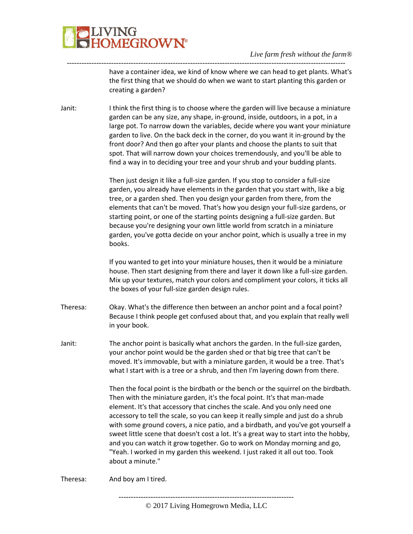# JVING<br>HOMEGROWN®

### *Live farm fresh without the farm®*

have a container idea, we kind of know where we can head to get plants. What's the first thing that we should do when we want to start planting this garden or creating a garden?

Janit: I think the first thing is to choose where the garden will live because a miniature garden can be any size, any shape, in-ground, inside, outdoors, in a pot, in a large pot. To narrow down the variables, decide where you want your miniature garden to live. On the back deck in the corner, do you want it in-ground by the front door? And then go after your plants and choose the plants to suit that spot. That will narrow down your choices tremendously, and you'll be able to find a way in to deciding your tree and your shrub and your budding plants.

-----------------------------------------------------------------------------------------------------------------

Then just design it like a full-size garden. If you stop to consider a full-size garden, you already have elements in the garden that you start with, like a big tree, or a garden shed. Then you design your garden from there, from the elements that can't be moved. That's how you design your full-size gardens, or starting point, or one of the starting points designing a full-size garden. But because you're designing your own little world from scratch in a miniature garden, you've gotta decide on your anchor point, which is usually a tree in my books.

If you wanted to get into your miniature houses, then it would be a miniature house. Then start designing from there and layer it down like a full-size garden. Mix up your textures, match your colors and compliment your colors, it ticks all the boxes of your full-size garden design rules.

- Theresa: Okay. What's the difference then between an anchor point and a focal point? Because I think people get confused about that, and you explain that really well in your book.
- Janit: The anchor point is basically what anchors the garden. In the full-size garden, your anchor point would be the garden shed or that big tree that can't be moved. It's immovable, but with a miniature garden, it would be a tree. That's what I start with is a tree or a shrub, and then I'm layering down from there.

Then the focal point is the birdbath or the bench or the squirrel on the birdbath. Then with the miniature garden, it's the focal point. It's that man-made element. It's that accessory that cinches the scale. And you only need one accessory to tell the scale, so you can keep it really simple and just do a shrub with some ground covers, a nice patio, and a birdbath, and you've got yourself a sweet little scene that doesn't cost a lot. It's a great way to start into the hobby, and you can watch it grow together. Go to work on Monday morning and go, "Yeah. I worked in my garden this weekend. I just raked it all out too. Took about a minute."

Theresa: And boy am I tired.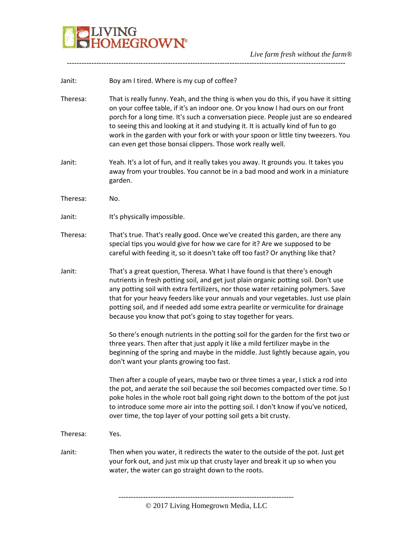

-----------------------------------------------------------------------------------------------------------------

| Janit:   | Boy am I tired. Where is my cup of coffee?                                                                                                                                                                                                                                                                                                                                                                                                                                                                |
|----------|-----------------------------------------------------------------------------------------------------------------------------------------------------------------------------------------------------------------------------------------------------------------------------------------------------------------------------------------------------------------------------------------------------------------------------------------------------------------------------------------------------------|
| Theresa: | That is really funny. Yeah, and the thing is when you do this, if you have it sitting<br>on your coffee table, if it's an indoor one. Or you know I had ours on our front<br>porch for a long time. It's such a conversation piece. People just are so endeared<br>to seeing this and looking at it and studying it. It is actually kind of fun to go<br>work in the garden with your fork or with your spoon or little tiny tweezers. You<br>can even get those bonsai clippers. Those work really well. |
| Janit:   | Yeah. It's a lot of fun, and it really takes you away. It grounds you. It takes you<br>away from your troubles. You cannot be in a bad mood and work in a miniature<br>garden.                                                                                                                                                                                                                                                                                                                            |
| Theresa: | No.                                                                                                                                                                                                                                                                                                                                                                                                                                                                                                       |
| Janit:   | It's physically impossible.                                                                                                                                                                                                                                                                                                                                                                                                                                                                               |
| Theresa: | That's true. That's really good. Once we've created this garden, are there any<br>special tips you would give for how we care for it? Are we supposed to be<br>careful with feeding it, so it doesn't take off too fast? Or anything like that?                                                                                                                                                                                                                                                           |
| Janit:   | That's a great question, Theresa. What I have found is that there's enough<br>nutrients in fresh potting soil, and get just plain organic potting soil. Don't use<br>any potting soil with extra fertilizers, nor those water retaining polymers. Save<br>that for your heavy feeders like your annuals and your vegetables. Just use plain<br>potting soil, and if needed add some extra pearlite or vermiculite for drainage<br>because you know that pot's going to stay together for years.           |
|          | So there's enough nutrients in the potting soil for the garden for the first two or<br>three years. Then after that just apply it like a mild fertilizer maybe in the<br>beginning of the spring and maybe in the middle. Just lightly because again, you<br>don't want your plants growing too fast.                                                                                                                                                                                                     |
|          | Then after a couple of years, maybe two or three times a year, I stick a rod into<br>the pot, and aerate the soil because the soil becomes compacted over time. So I<br>poke holes in the whole root ball going right down to the bottom of the pot just<br>to introduce some more air into the potting soil. I don't know if you've noticed,<br>over time, the top layer of your potting soil gets a bit crusty.                                                                                         |
| Theresa: | Yes.                                                                                                                                                                                                                                                                                                                                                                                                                                                                                                      |
| Janit:   | Then when you water, it redirects the water to the outside of the pot. Just get<br>your fork out, and just mix up that crusty layer and break it up so when you<br>water, the water can go straight down to the roots.                                                                                                                                                                                                                                                                                    |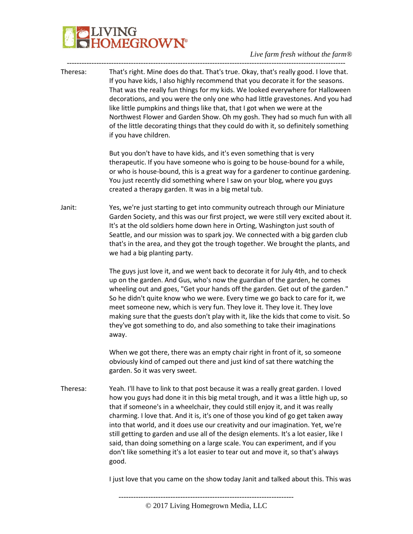## **PLIVING**<br>**CHOMEGROWN**  $\mathcal{A}$

*Live farm fresh without the farm®*

| Theresa: | That's right. Mine does do that. That's true. Okay, that's really good. I love that.<br>If you have kids, I also highly recommend that you decorate it for the seasons.<br>That was the really fun things for my kids. We looked everywhere for Halloween<br>decorations, and you were the only one who had little gravestones. And you had<br>like little pumpkins and things like that, that I got when we were at the<br>Northwest Flower and Garden Show. Oh my gosh. They had so much fun with all<br>of the little decorating things that they could do with it, so definitely something<br>if you have children.                                                                                  |
|----------|----------------------------------------------------------------------------------------------------------------------------------------------------------------------------------------------------------------------------------------------------------------------------------------------------------------------------------------------------------------------------------------------------------------------------------------------------------------------------------------------------------------------------------------------------------------------------------------------------------------------------------------------------------------------------------------------------------|
|          | But you don't have to have kids, and it's even something that is very<br>therapeutic. If you have someone who is going to be house-bound for a while,<br>or who is house-bound, this is a great way for a gardener to continue gardening.<br>You just recently did something where I saw on your blog, where you guys<br>created a therapy garden. It was in a big metal tub.                                                                                                                                                                                                                                                                                                                            |
| Janit:   | Yes, we're just starting to get into community outreach through our Miniature<br>Garden Society, and this was our first project, we were still very excited about it.<br>It's at the old soldiers home down here in Orting, Washington just south of<br>Seattle, and our mission was to spark joy. We connected with a big garden club<br>that's in the area, and they got the trough together. We brought the plants, and<br>we had a big planting party.                                                                                                                                                                                                                                               |
|          | The guys just love it, and we went back to decorate it for July 4th, and to check<br>up on the garden. And Gus, who's now the guardian of the garden, he comes<br>wheeling out and goes, "Get your hands off the garden. Get out of the garden."<br>So he didn't quite know who we were. Every time we go back to care for it, we<br>meet someone new, which is very fun. They love it. They love it. They love<br>making sure that the guests don't play with it, like the kids that come to visit. So<br>they've got something to do, and also something to take their imaginations<br>away.                                                                                                           |
|          | When we got there, there was an empty chair right in front of it, so someone<br>obviously kind of camped out there and just kind of sat there watching the<br>garden. So it was very sweet.                                                                                                                                                                                                                                                                                                                                                                                                                                                                                                              |
| Theresa: | Yeah. I'll have to link to that post because it was a really great garden. I loved<br>how you guys had done it in this big metal trough, and it was a little high up, so<br>that if someone's in a wheelchair, they could still enjoy it, and it was really<br>charming. I love that. And it is, it's one of those you kind of go get taken away<br>into that world, and it does use our creativity and our imagination. Yet, we're<br>still getting to garden and use all of the design elements. It's a lot easier, like I<br>said, than doing something on a large scale. You can experiment, and if you<br>don't like something it's a lot easier to tear out and move it, so that's always<br>good. |

I just love that you came on the show today Janit and talked about this. This was